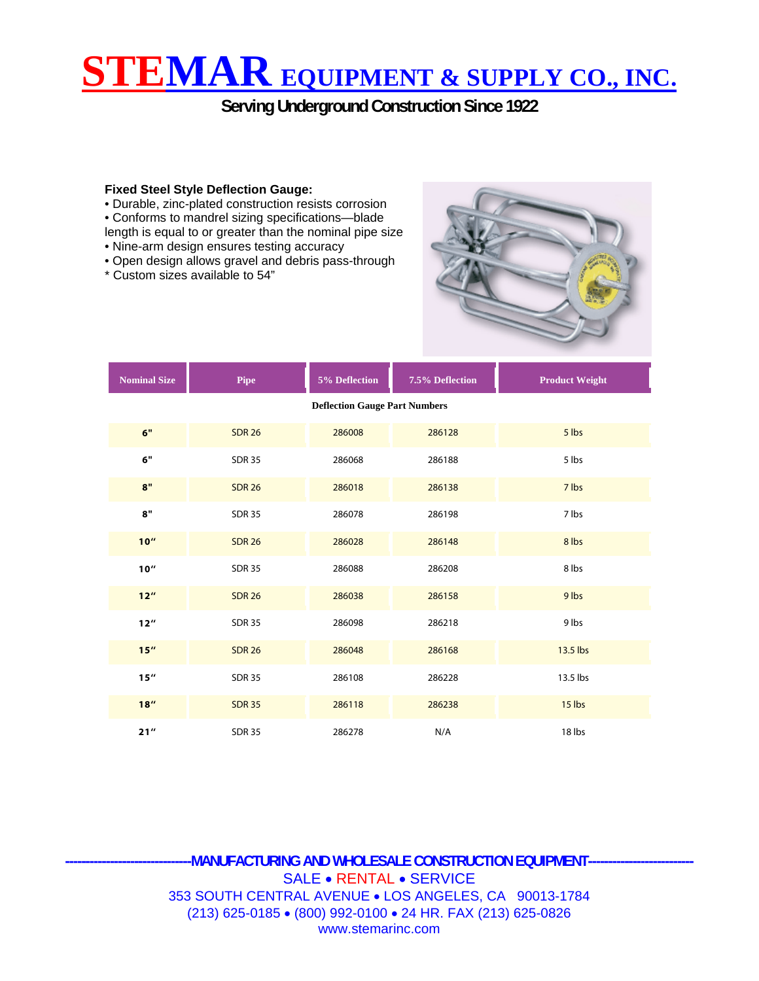## **STEMAR EQUIPMENT & SUPPLY CO., INC.**

**Serving Underground Construction Since 1922** 

## **Fixed Steel Style Deflection Gauge:**

• Durable, zinc-plated construction resists corrosion

- Conforms to mandrel sizing specifications—blade
- length is equal to or greater than the nominal pipe size
- Nine-arm design ensures testing accuracy
- Open design allows gravel and debris pass-through
- \* Custom sizes available to 54"



| <b>Nominal Size</b>                  | Pipe          | 5% Deflection | 7.5% Deflection | <b>Product Weight</b> |  |  |  |  |  |  |  |  |
|--------------------------------------|---------------|---------------|-----------------|-----------------------|--|--|--|--|--|--|--|--|
| <b>Deflection Gauge Part Numbers</b> |               |               |                 |                       |  |  |  |  |  |  |  |  |
| 6"                                   | <b>SDR 26</b> | 286008        | 286128          | 5 lbs                 |  |  |  |  |  |  |  |  |
| 6"                                   | <b>SDR 35</b> | 286068        | 286188          | 5 lbs                 |  |  |  |  |  |  |  |  |
| 8"                                   | <b>SDR 26</b> | 286018        | 286138          | 7 lbs                 |  |  |  |  |  |  |  |  |
| 8"                                   | <b>SDR 35</b> | 286078        | 286198          | 7 lbs                 |  |  |  |  |  |  |  |  |
| 10''                                 | <b>SDR 26</b> | 286028        | 286148          | 8 lbs                 |  |  |  |  |  |  |  |  |
| 10''                                 | <b>SDR 35</b> | 286088        | 286208          | 8 lbs                 |  |  |  |  |  |  |  |  |
| $12^{\prime\prime}$                  | <b>SDR 26</b> | 286038        | 286158          | 9 lbs                 |  |  |  |  |  |  |  |  |
| $12^{\prime\prime}$                  | <b>SDR 35</b> | 286098        | 286218          | 9 lbs                 |  |  |  |  |  |  |  |  |
| 15''                                 | <b>SDR 26</b> | 286048        | 286168          | 13.5 lbs              |  |  |  |  |  |  |  |  |
| 15''                                 | <b>SDR 35</b> | 286108        | 286228          | 13.5 lbs              |  |  |  |  |  |  |  |  |
| 18''                                 | <b>SDR 35</b> | 286118        | 286238          | 15 lbs                |  |  |  |  |  |  |  |  |
| 21''                                 | <b>SDR 35</b> | 286278        | N/A             | 18 lbs                |  |  |  |  |  |  |  |  |

**-------------------------------MANUFACTURING AND WHOLESALE CONSTRUCTION EQUIPMENT--------------------------**  SALE • RENTAL • SERVICE 353 SOUTH CENTRAL AVENUE • LOS ANGELES, CA 90013-1784 (213) 625-0185 • (800) 992-0100 • 24 HR. FAX (213) 625-0826 www.stemarinc.com